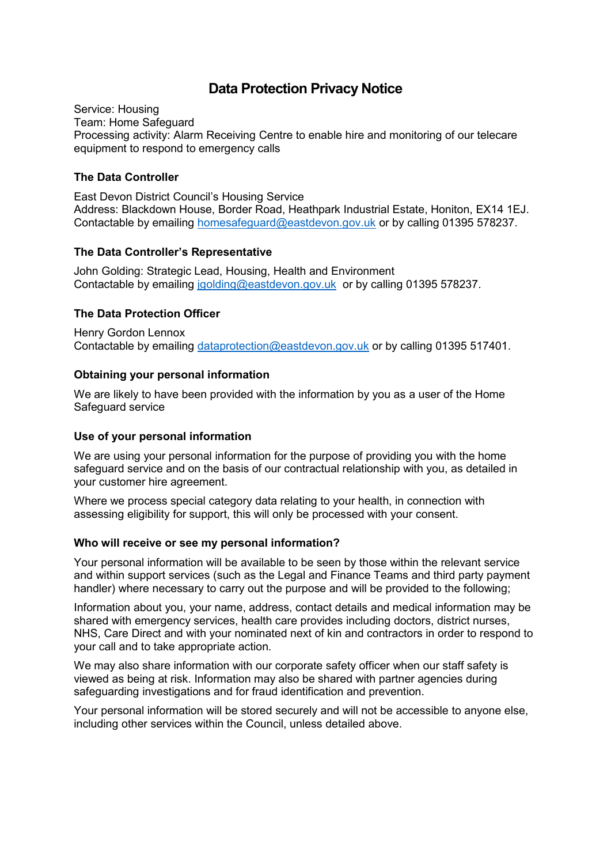# **Data Protection Privacy Notice**

Service: Housing Team: Home Safeguard Processing activity: Alarm Receiving Centre to enable hire and monitoring of our telecare equipment to respond to emergency calls

### **The Data Controller**

East Devon District Council's Housing Service Address: Blackdown House, Border Road, Heathpark Industrial Estate, Honiton, EX14 1EJ. Contactable by emailing [homesafeguard@eastdevon.gov.uk](mailto:homesafeguard@eastdevon.gov.uk) or by calling 01395 578237.

## **The Data Controller's Representative**

John Golding: Strategic Lead, Housing, Health and Environment Contactable by emailing [jgolding@eastdevon.gov.uk](mailto:jgolding@eastdevon.gov.uk) or by calling 01395 578237.

## **The Data Protection Officer**

Henry Gordon Lennox Contactable by emailing [dataprotection@eastdevon.gov.uk](mailto:dataprotection@eastdevon.gov.uk) or by calling 01395 517401.

#### **Obtaining your personal information**

We are likely to have been provided with the information by you as a user of the Home Safeguard service

#### **Use of your personal information**

We are using your personal information for the purpose of providing you with the home safeguard service and on the basis of our contractual relationship with you, as detailed in your customer hire agreement.

Where we process special category data relating to your health, in connection with assessing eligibility for support, this will only be processed with your consent.

#### **Who will receive or see my personal information?**

Your personal information will be available to be seen by those within the relevant service and within support services (such as the Legal and Finance Teams and third party payment handler) where necessary to carry out the purpose and will be provided to the following;

Information about you, your name, address, contact details and medical information may be shared with emergency services, health care provides including doctors, district nurses, NHS, Care Direct and with your nominated next of kin and contractors in order to respond to your call and to take appropriate action.

We may also share information with our corporate safety officer when our staff safety is viewed as being at risk. Information may also be shared with partner agencies during safeguarding investigations and for fraud identification and prevention.

Your personal information will be stored securely and will not be accessible to anyone else, including other services within the Council, unless detailed above.